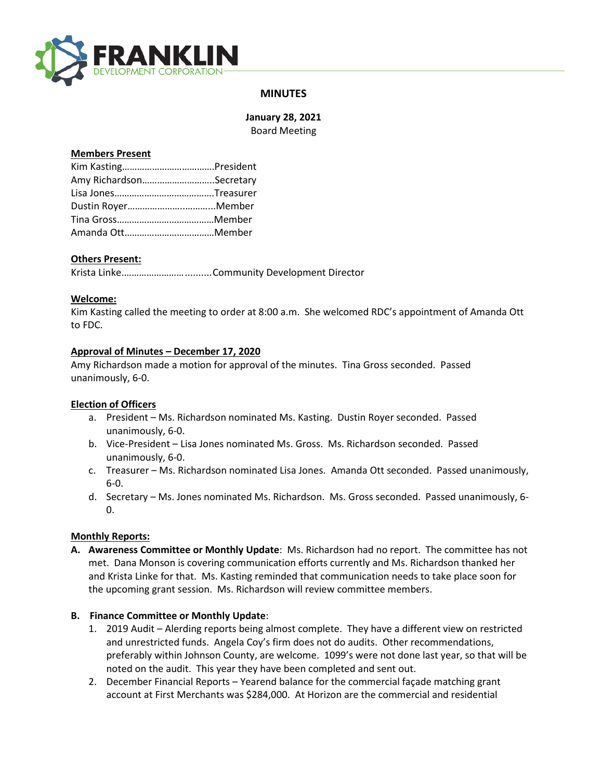

# **MINUTES**

**January 28, 2021** Board Meeting

### **Members Present**

| Amy RichardsonSecretary |  |  |
|-------------------------|--|--|
|                         |  |  |
| Dustin RoyerMember      |  |  |
|                         |  |  |
|                         |  |  |

# **Others Present:**

Krista Linke.……………………..........Community Development Director

### **Welcome:**

Kim Kasting called the meeting to order at 8:00 a.m. She welcomed RDC's appointment of Amanda Ott to FDC.

### **Approval of Minutes – December 17, 2020**

Amy Richardson made a motion for approval of the minutes. Tina Gross seconded. Passed unanimously, 6-0.

# **Election of Officers**

- a. President Ms. Richardson nominated Ms. Kasting. Dustin Royer seconded. Passed unanimously, 6-0.
- b. Vice-President Lisa Jones nominated Ms. Gross. Ms. Richardson seconded. Passed unanimously, 6-0.
- c. Treasurer Ms. Richardson nominated Lisa Jones. Amanda Ott seconded. Passed unanimously, 6-0.
- d. Secretary Ms. Jones nominated Ms. Richardson. Ms. Gross seconded. Passed unanimously, 6- 0.

# **Monthly Reports:**

**A. Awareness Committee or Monthly Update**: Ms. Richardson had no report. The committee has not met. Dana Monson is covering communication efforts currently and Ms. Richardson thanked her and Krista Linke for that. Ms. Kasting reminded that communication needs to take place soon for the upcoming grant session. Ms. Richardson will review committee members.

#### **B. Finance Committee or Monthly Update**:

- 1. 2019 Audit Alerding reports being almost complete. They have a different view on restricted and unrestricted funds. Angela Coy's firm does not do audits. Other recommendations, preferably within Johnson County, are welcome. 1099's were not done last year, so that will be noted on the audit. This year they have been completed and sent out.
- 2. December Financial Reports Yearend balance for the commercial façade matching grant account at First Merchants was \$284,000. At Horizon are the commercial and residential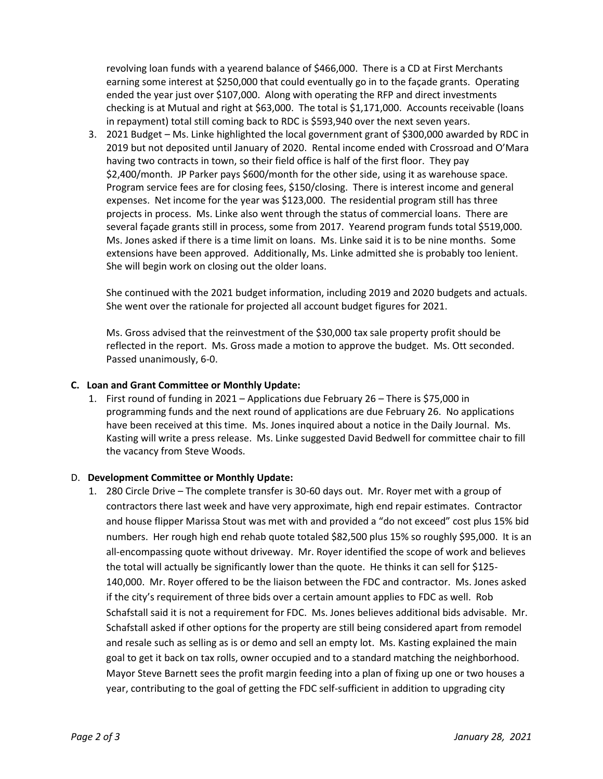revolving loan funds with a yearend balance of \$466,000. There is a CD at First Merchants earning some interest at \$250,000 that could eventually go in to the façade grants. Operating ended the year just over \$107,000. Along with operating the RFP and direct investments checking is at Mutual and right at \$63,000. The total is \$1,171,000. Accounts receivable (loans in repayment) total still coming back to RDC is \$593,940 over the next seven years.

3. 2021 Budget – Ms. Linke highlighted the local government grant of \$300,000 awarded by RDC in 2019 but not deposited until January of 2020. Rental income ended with Crossroad and O'Mara having two contracts in town, so their field office is half of the first floor. They pay \$2,400/month. JP Parker pays \$600/month for the other side, using it as warehouse space. Program service fees are for closing fees, \$150/closing. There is interest income and general expenses. Net income for the year was \$123,000. The residential program still has three projects in process. Ms. Linke also went through the status of commercial loans. There are several façade grants still in process, some from 2017. Yearend program funds total \$519,000. Ms. Jones asked if there is a time limit on loans. Ms. Linke said it is to be nine months. Some extensions have been approved. Additionally, Ms. Linke admitted she is probably too lenient. She will begin work on closing out the older loans.

She continued with the 2021 budget information, including 2019 and 2020 budgets and actuals. She went over the rationale for projected all account budget figures for 2021.

Ms. Gross advised that the reinvestment of the \$30,000 tax sale property profit should be reflected in the report. Ms. Gross made a motion to approve the budget. Ms. Ott seconded. Passed unanimously, 6-0.

### **C. Loan and Grant Committee or Monthly Update:**

1. First round of funding in 2021 – Applications due February 26 – There is \$75,000 in programming funds and the next round of applications are due February 26. No applications have been received at this time. Ms. Jones inquired about a notice in the Daily Journal. Ms. Kasting will write a press release. Ms. Linke suggested David Bedwell for committee chair to fill the vacancy from Steve Woods.

#### D. **Development Committee or Monthly Update:**

1. 280 Circle Drive – The complete transfer is 30-60 days out. Mr. Royer met with a group of contractors there last week and have very approximate, high end repair estimates. Contractor and house flipper Marissa Stout was met with and provided a "do not exceed" cost plus 15% bid numbers. Her rough high end rehab quote totaled \$82,500 plus 15% so roughly \$95,000. It is an all-encompassing quote without driveway. Mr. Royer identified the scope of work and believes the total will actually be significantly lower than the quote. He thinks it can sell for \$125- 140,000. Mr. Royer offered to be the liaison between the FDC and contractor. Ms. Jones asked if the city's requirement of three bids over a certain amount applies to FDC as well. Rob Schafstall said it is not a requirement for FDC. Ms. Jones believes additional bids advisable. Mr. Schafstall asked if other options for the property are still being considered apart from remodel and resale such as selling as is or demo and sell an empty lot. Ms. Kasting explained the main goal to get it back on tax rolls, owner occupied and to a standard matching the neighborhood. Mayor Steve Barnett sees the profit margin feeding into a plan of fixing up one or two houses a year, contributing to the goal of getting the FDC self-sufficient in addition to upgrading city